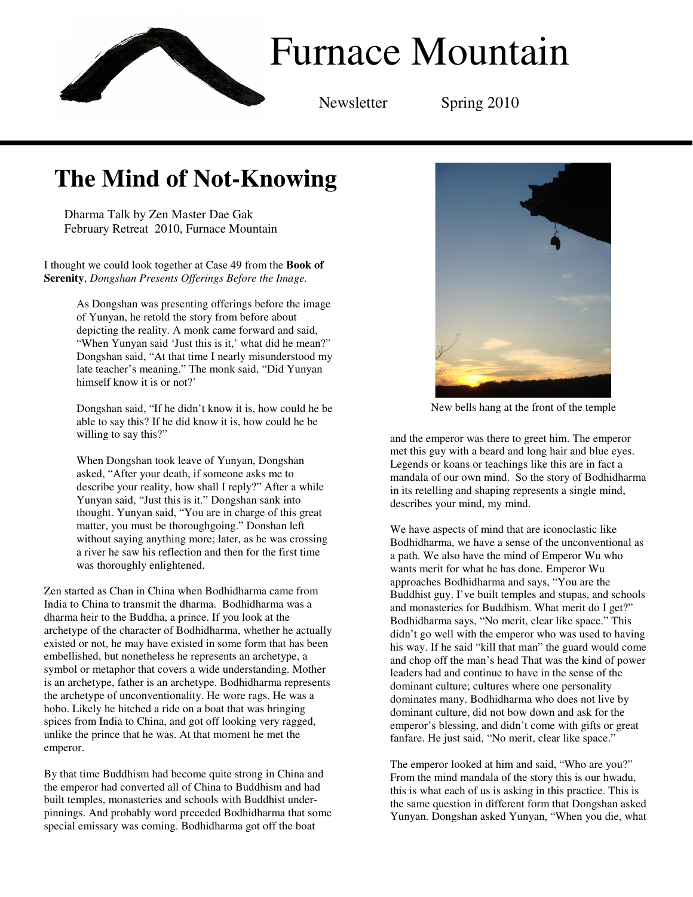

# **The Mind of Not-Knowing**

Dharma Talk by Zen Master Dae Gak February Retreat 2010, Furnace Mountain

I thought we could look together at Case 49 from the **Book of Serenity**, *Dongshan Presents Offerings Before the Image.* 

> As Dongshan was presenting offerings before the image of Yunyan, he retold the story from before about depicting the reality. A monk came forward and said, "When Yunyan said 'Just this is it,' what did he mean?" Dongshan said, "At that time I nearly misunderstood my late teacher's meaning." The monk said, "Did Yunyan himself know it is or not?'

> Dongshan said, "If he didn't know it is, how could he be able to say this? If he did know it is, how could he be willing to say this?"

When Dongshan took leave of Yunyan, Dongshan asked, "After your death, if someone asks me to describe your reality, how shall I reply?" After a while Yunyan said, "Just this is it." Dongshan sank into thought. Yunyan said, "You are in charge of this great matter, you must be thoroughgoing." Donshan left without saying anything more; later, as he was crossing a river he saw his reflection and then for the first time was thoroughly enlightened.

Zen started as Chan in China when Bodhidharma came from India to China to transmit the dharma. Bodhidharma was a dharma heir to the Buddha, a prince. If you look at the archetype of the character of Bodhidharma, whether he actually existed or not, he may have existed in some form that has been embellished, but nonetheless he represents an archetype, a symbol or metaphor that covers a wide understanding. Mother is an archetype, father is an archetype. Bodhidharma represents the archetype of unconventionality. He wore rags. He was a hobo. Likely he hitched a ride on a boat that was bringing spices from India to China, and got off looking very ragged, unlike the prince that he was. At that moment he met the emperor.

By that time Buddhism had become quite strong in China and the emperor had converted all of China to Buddhism and had built temples, monasteries and schools with Buddhist underpinnings. And probably word preceded Bodhidharma that some special emissary was coming. Bodhidharma got off the boat



New bells hang at the front of the temple

and the emperor was there to greet him. The emperor met this guy with a beard and long hair and blue eyes. Legends or koans or teachings like this are in fact a mandala of our own mind. So the story of Bodhidharma in its retelling and shaping represents a single mind, describes your mind, my mind.

We have aspects of mind that are iconoclastic like Bodhidharma, we have a sense of the unconventional as a path. We also have the mind of Emperor Wu who wants merit for what he has done. Emperor Wu approaches Bodhidharma and says, "You are the Buddhist guy. I've built temples and stupas, and schools and monasteries for Buddhism. What merit do I get?" Bodhidharma says, "No merit, clear like space." This didn't go well with the emperor who was used to having his way. If he said "kill that man" the guard would come and chop off the man's head That was the kind of power leaders had and continue to have in the sense of the dominant culture; cultures where one personality dominates many. Bodhidharma who does not live by dominant culture, did not bow down and ask for the emperor's blessing, and didn't come with gifts or great fanfare. He just said, "No merit, clear like space."

The emperor looked at him and said, "Who are you?" From the mind mandala of the story this is our hwadu, this is what each of us is asking in this practice. This is the same question in different form that Dongshan asked Yunyan. Dongshan asked Yunyan, "When you die, what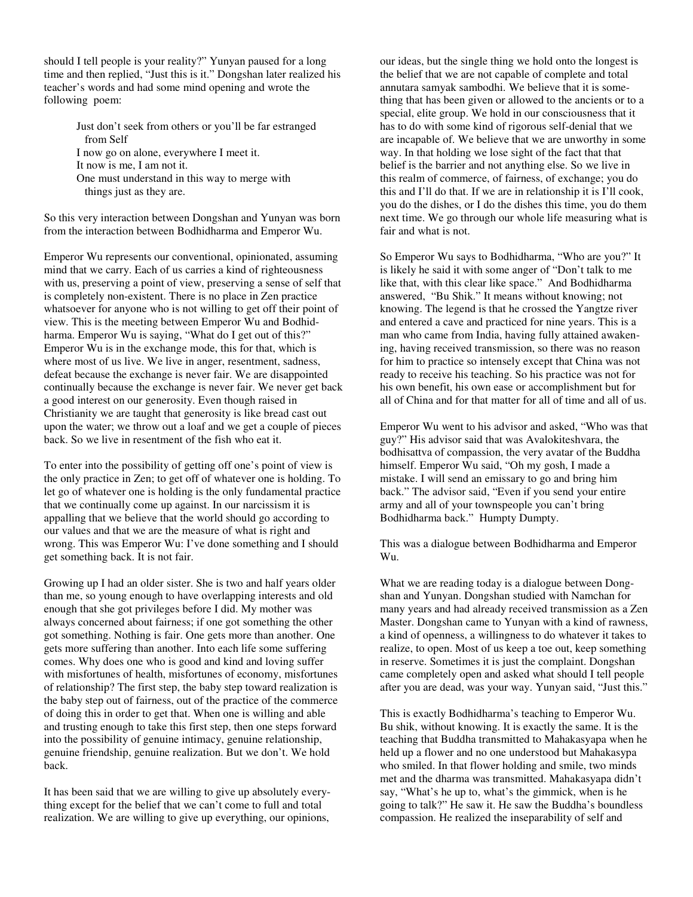should I tell people is your reality?" Yunyan paused for a long time and then replied, "Just this is it." Dongshan later realized his teacher's words and had some mind opening and wrote the following poem:

> Just don't seek from others or you'll be far estranged from Self I now go on alone, everywhere I meet it. It now is me, I am not it. One must understand in this way to merge with things just as they are.

So this very interaction between Dongshan and Yunyan was born from the interaction between Bodhidharma and Emperor Wu.

Emperor Wu represents our conventional, opinionated, assuming mind that we carry. Each of us carries a kind of righteousness with us, preserving a point of view, preserving a sense of self that is completely non-existent. There is no place in Zen practice whatsoever for anyone who is not willing to get off their point of view. This is the meeting between Emperor Wu and Bodhidharma. Emperor Wu is saying, "What do I get out of this?" Emperor Wu is in the exchange mode, this for that, which is where most of us live. We live in anger, resentment, sadness, defeat because the exchange is never fair. We are disappointed continually because the exchange is never fair. We never get back a good interest on our generosity. Even though raised in Christianity we are taught that generosity is like bread cast out upon the water; we throw out a loaf and we get a couple of pieces back. So we live in resentment of the fish who eat it.

To enter into the possibility of getting off one's point of view is the only practice in Zen; to get off of whatever one is holding. To let go of whatever one is holding is the only fundamental practice that we continually come up against. In our narcissism it is appalling that we believe that the world should go according to our values and that we are the measure of what is right and wrong. This was Emperor Wu: I've done something and I should get something back. It is not fair.

Growing up I had an older sister. She is two and half years older than me, so young enough to have overlapping interests and old enough that she got privileges before I did. My mother was always concerned about fairness; if one got something the other got something. Nothing is fair. One gets more than another. One gets more suffering than another. Into each life some suffering comes. Why does one who is good and kind and loving suffer with misfortunes of health, misfortunes of economy, misfortunes of relationship? The first step, the baby step toward realization is the baby step out of fairness, out of the practice of the commerce of doing this in order to get that. When one is willing and able and trusting enough to take this first step, then one steps forward into the possibility of genuine intimacy, genuine relationship, genuine friendship, genuine realization. But we don't. We hold back.

It has been said that we are willing to give up absolutely everything except for the belief that we can't come to full and total realization. We are willing to give up everything, our opinions,

our ideas, but the single thing we hold onto the longest is the belief that we are not capable of complete and total annutara samyak sambodhi. We believe that it is something that has been given or allowed to the ancients or to a special, elite group. We hold in our consciousness that it has to do with some kind of rigorous self-denial that we are incapable of. We believe that we are unworthy in some way. In that holding we lose sight of the fact that that belief is the barrier and not anything else. So we live in this realm of commerce, of fairness, of exchange; you do this and I'll do that. If we are in relationship it is I'll cook, you do the dishes, or I do the dishes this time, you do them next time. We go through our whole life measuring what is fair and what is not.

So Emperor Wu says to Bodhidharma, "Who are you?" It is likely he said it with some anger of "Don't talk to me like that, with this clear like space." And Bodhidharma answered, "Bu Shik." It means without knowing; not knowing. The legend is that he crossed the Yangtze river and entered a cave and practiced for nine years. This is a man who came from India, having fully attained awakening, having received transmission, so there was no reason for him to practice so intensely except that China was not ready to receive his teaching. So his practice was not for his own benefit, his own ease or accomplishment but for all of China and for that matter for all of time and all of us.

Emperor Wu went to his advisor and asked, "Who was that guy?" His advisor said that was Avalokiteshvara, the bodhisattva of compassion, the very avatar of the Buddha himself. Emperor Wu said, "Oh my gosh, I made a mistake. I will send an emissary to go and bring him back." The advisor said, "Even if you send your entire army and all of your townspeople you can't bring Bodhidharma back." Humpty Dumpty.

This was a dialogue between Bodhidharma and Emperor Wu.

What we are reading today is a dialogue between Dongshan and Yunyan. Dongshan studied with Namchan for many years and had already received transmission as a Zen Master. Dongshan came to Yunyan with a kind of rawness, a kind of openness, a willingness to do whatever it takes to realize, to open. Most of us keep a toe out, keep something in reserve. Sometimes it is just the complaint. Dongshan came completely open and asked what should I tell people after you are dead, was your way. Yunyan said, "Just this."

This is exactly Bodhidharma's teaching to Emperor Wu. Bu shik, without knowing. It is exactly the same. It is the teaching that Buddha transmitted to Mahakasyapa when he held up a flower and no one understood but Mahakasypa who smiled. In that flower holding and smile, two minds met and the dharma was transmitted. Mahakasyapa didn't say, "What's he up to, what's the gimmick, when is he going to talk?" He saw it. He saw the Buddha's boundless compassion. He realized the inseparability of self and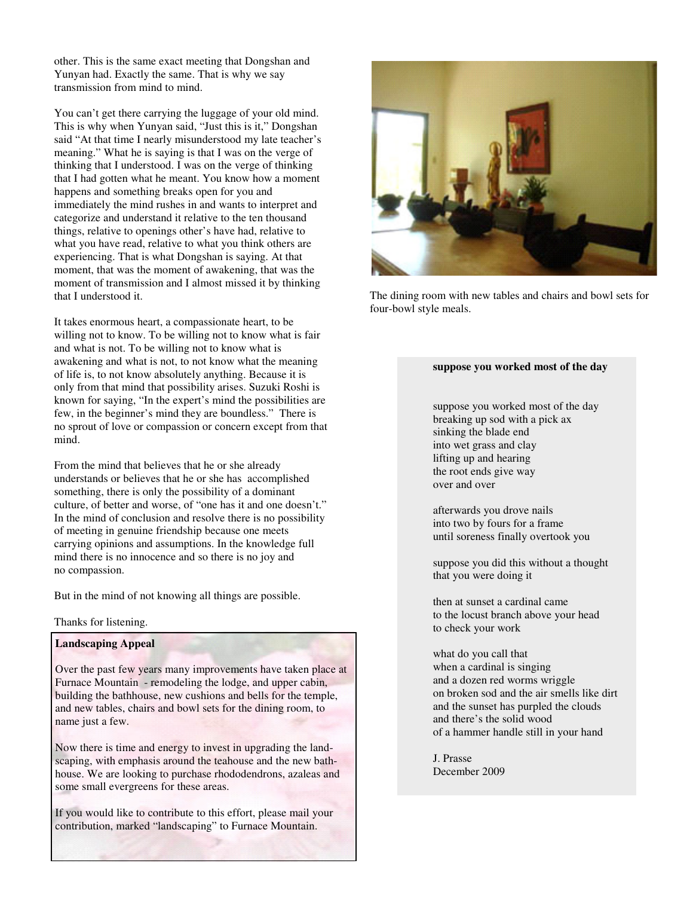other. This is the same exact meeting that Dongshan and Yunyan had. Exactly the same. That is why we say transmission from mind to mind.

You can't get there carrying the luggage of your old mind. This is why when Yunyan said, "Just this is it," Dongshan said "At that time I nearly misunderstood my late teacher's meaning." What he is saying is that I was on the verge of thinking that I understood. I was on the verge of thinking that I had gotten what he meant. You know how a moment happens and something breaks open for you and immediately the mind rushes in and wants to interpret and categorize and understand it relative to the ten thousand things, relative to openings other's have had, relative to what you have read, relative to what you think others are experiencing. That is what Dongshan is saying. At that moment, that was the moment of awakening, that was the moment of transmission and I almost missed it by thinking that I understood it.

It takes enormous heart, a compassionate heart, to be willing not to know. To be willing not to know what is fair and what is not. To be willing not to know what is awakening and what is not, to not know what the meaning of life is, to not know absolutely anything. Because it is only from that mind that possibility arises. Suzuki Roshi is known for saying, "In the expert's mind the possibilities are few, in the beginner's mind they are boundless." There is no sprout of love or compassion or concern except from that mind.

From the mind that believes that he or she already understands or believes that he or she has accomplished something, there is only the possibility of a dominant culture, of better and worse, of "one has it and one doesn't." In the mind of conclusion and resolve there is no possibility of meeting in genuine friendship because one meets carrying opinions and assumptions. In the knowledge full mind there is no innocence and so there is no joy and no compassion.

But in the mind of not knowing all things are possible.

Thanks for listening.

### **Landscaping Appeal**

Over the past few years many improvements have taken place at Furnace Mountain - remodeling the lodge, and upper cabin, building the bathhouse, new cushions and bells for the temple, and new tables, chairs and bowl sets for the dining room, to name just a few.

Now there is time and energy to invest in upgrading the landscaping, with emphasis around the teahouse and the new bathhouse. We are looking to purchase rhododendrons, azaleas and some small evergreens for these areas.

If you would like to contribute to this effort, please mail your contribution, marked "landscaping" to Furnace Mountain.



The dining room with new tables and chairs and bowl sets for four-bowl style meals.

#### **suppose you worked most of the day**

suppose you worked most of the day breaking up sod with a pick ax sinking the blade end into wet grass and clay lifting up and hearing the root ends give way over and over

afterwards you drove nails into two by fours for a frame until soreness finally overtook you

suppose you did this without a thought that you were doing it

then at sunset a cardinal came to the locust branch above your head to check your work

what do you call that when a cardinal is singing and a dozen red worms wriggle on broken sod and the air smells like dirt and the sunset has purpled the clouds and there's the solid wood of a hammer handle still in your hand

J. Prasse December 2009